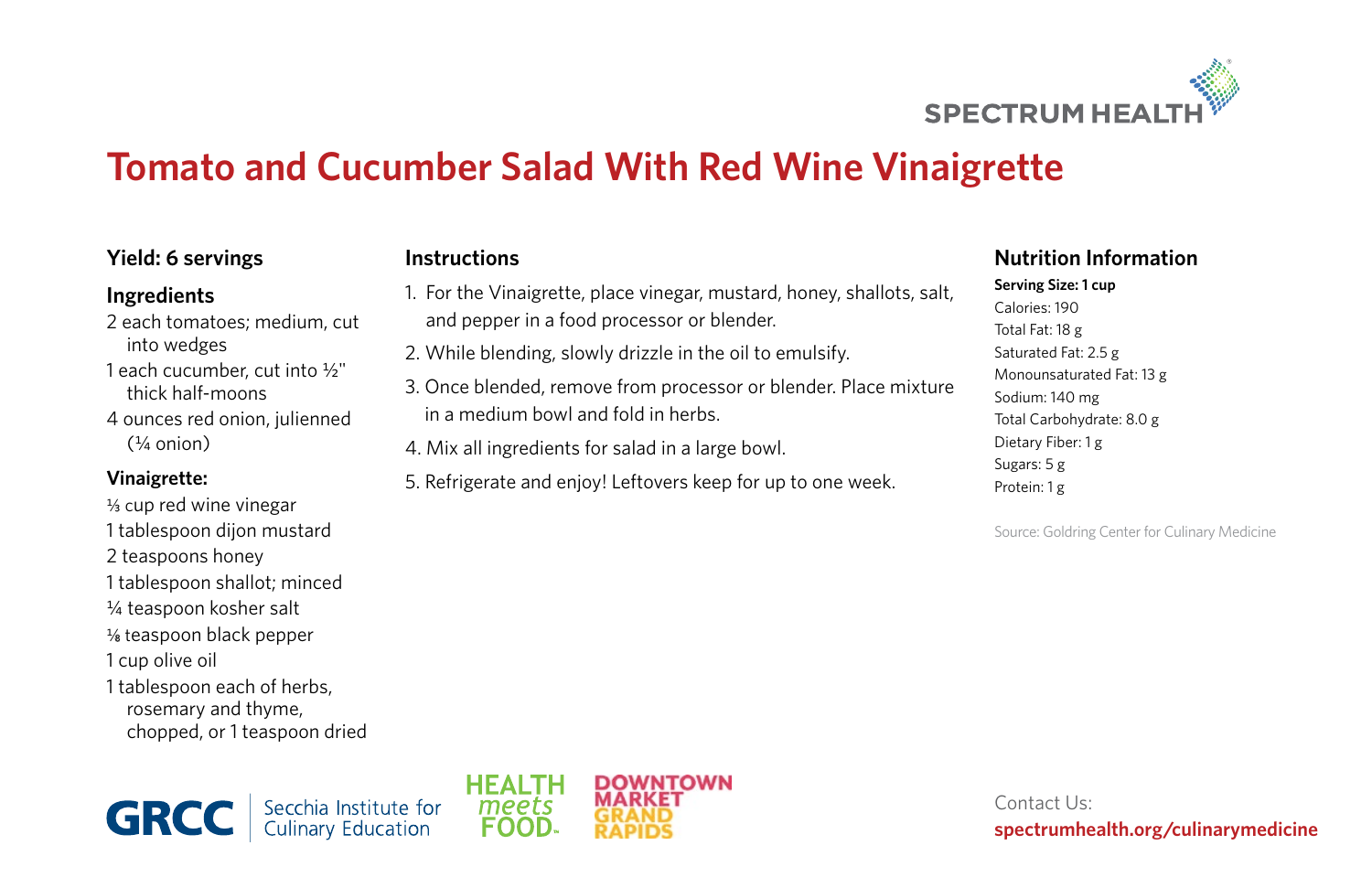

# **Tomato and Cucumber Salad With Red Wine Vinaigrette**

## **Yield: 6 servings**

#### **Ingredients**

2 each tomatoes; medium, cut into wedges 1 each cucumber, cut into ½" thick half-moons 4 ounces red onion, julienned  $(1/4 \text{ onion})$ 

### **Vinaigrette:**

- $\frac{1}{3}$  cup red wine vinegar 1 tablespoon dijon mustard 2 teaspoons honey 1 tablespoon shallot; minced ¼ teaspoon kosher salt  $%$  teaspoon black pepper 1 cup olive oil
- 1 tablespoon each of herbs, rosemary and thyme, chopped, or 1 teaspoon dried

**Instructions**

- 1. For the Vinaigrette, place vinegar, mustard, honey, shallots, salt, and pepper in a food processor or blender.
- 2. While blending, slowly drizzle in the oil to emulsify.
- 3. Once blended, remove from processor or blender. Place mixture in a medium bowl and fold in herbs.
- 4. Mix all ingredients for salad in a large bowl.
- 5. Refrigerate and enjoy! Leftovers keep for up to one week.

## **Nutrition Information**

**Serving Size: 1 cup** Calories: 190 Total Fat: 18 g Saturated Fat: 2.5 g Monounsaturated Fat: 13 g Sodium: 140 mg Total Carbohydrate: 8.0 g Dietary Fiber: 1 g Sugars: 5 g Protein: 1 g

Source: Goldring Center for Culinary Medicine

Secchia Institute for<br>Culinary Education **GRCC** 



Contact Us: **spectrumhealth.org/culinarymedicine**